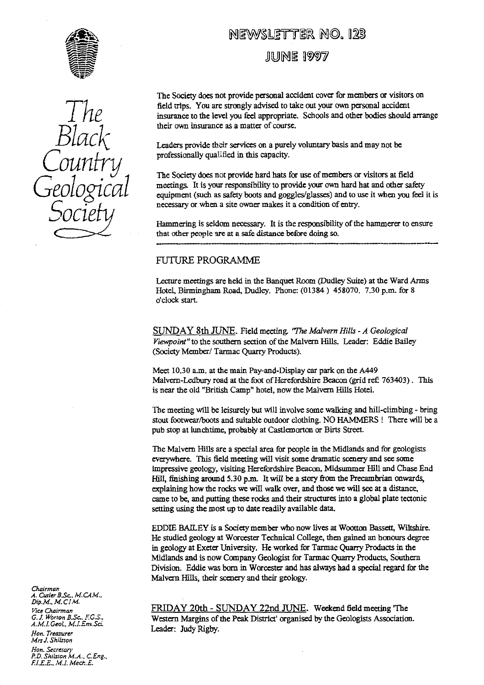



# NEWSLETTER NO. 123

**JUNE 1997** 

The Socie**ty** does not provide personal accident cover for members or visitors on field trips. You are strongly advised to take out your own personal accident insurance to the level you feel appropriate. Schools and other bodies should arrange their own insurance as a matter of course.

Leaders provide thcir services on a purely voluntary basis and may not **be** professionally qualified in this capacity.

**The** Socie**ty** does not provide hard hats for use of members or visitors at field meetings. It is your responsibility to provide your own hard hat and other safety equipment (such as safety boots and goggles/glasses) and to use it when you feel it is necessary or when a site owner makes it a condition of entry.

Hammering is seldom necessary. It is the responsibility of the hammerer to ensure that other people are at a safe distance before doing so.

# FUTURE PROGRAMME

*Lecture* meetings are held in the Banquet Room (Dudley Suite) at the Ward Arms Hotel, Birmingham Road, Dudley. Phone: (01384) 458070. 7.30 p.m. for 8 o'clock start.

SUNDAY 8th JUNE. Field meeting. *'T'he Malvern Hills - A Geological Viewpoint" to* the southern section of the Malvern Hills. Leader: Eddie Bailey (Society Member/ Tarmac Quarry Products).

Meet 10.30 a.m. at the main Pay-and-Display car park on the A449 Malvern-Ledbury road at the foot of Herefordshire Beacon *(grid ref: 763403)*. This is near the old "British Camp" hotel, now the Malvern Hills Hotel.

The meeting will be leisurely but will involve some walking and hill-climbing - bring stout footwear/boots and suitable outdoor clothing. NO HAMMERS! There will be a pub stop at lunchtime, probably at Castlemorton or Birts Street.

The Malvern Hills are a special area for people in the Midlands and for geologists everywhere. This field meeting will visit some dramatic scenery and see some impressive geology, visiting Herefordshire Beacon, Midsummer Hill and Chase End Hill, finishing around 5.30 p.m. It will be a story from the Precambrian onwards, explaining how the rocks we will walk over, and those we will see at a distance, came to be, and putting these rocks and their structures into a global plate tectonic setting using the most up to date readily available data.

EDDIE BAILEY is a Society member **who** now lives at Wootton Bassett, Wiltshire. He studied geology at Worcester Technical College, then gained an honours degree in geology at Exeter University. He worked for Tarmac Quarry Products in the Midlands and is now Company Geologist for Tarmac Quarry Products, Southern Division. Eddie was born in Worcester and has always had a special regard for the Malvern Hills, their scenery and their geology.

FRIDAY 20th - SUNDAY 22nd JUNE. Weekend field **meeting 'The** Western Margins of the Peak District' organised by the Geologists Association. Leader: Judy Rigby.

Chairman<br>A. Cutler B.Sc., M.CAM.<br>Dip.M., M. CIM. Vice Chairman **G. 1.** *Worton B.Sc.. F.G.S., A. M. I. Geoi., M.I.EnvSci. Hon. Treasurer Mrsi. ShiLsron Hon. Secretary PD.* Snilston M.A.. *C.Eng., fl.E.E.. M.1. Me&...E.*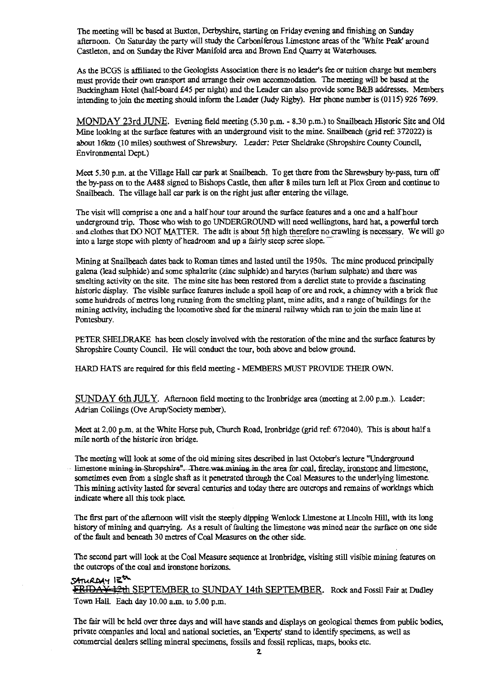The meeting will be based at Buxton, Derbyshire, starting on Friday evening and finishing on Sunday afternoon. On Saturday the party will study the Carboniferous Limestone areas of the 'White Peak' around Castleton, and on Sunday the River Manifold area and Brown End Quar**ry** at Waterhouses.

As the BCGS is affiliated to the Geologists Association there is no leader's fee or tuition charge but members must provide their own transport and arrange their own accommodation. The meeting will be based at the Buckingham Hotel (half-board £45 per night) and the Leader can also provide some B&B addresses. Members intending to join the meeting should inform the Leader (Judy Rigby). Her phone number is (0115) 926 7699.

MONDAY 23rd NNE. Evening field meeting (5.30 p.m. - 830 p.m.) to Snailbeach Historic Site and Old Mine looking at the surface features with an underground visit to the mine. Snailbeach (grid ref: 372022) is about 16km (10 miles) southwest of Shrewsbury. Leader: Peter Sheldrake (Shropshire County Council, Environmental Dept.)

Meet 5.30 p.m. at the Village Hall car park at Snailbeach. To get there from the Shrewsbury by-pass, turn off the by-pass on to the A488 signed to Bishops Castle, then after 8 miles turn left at Plox Green and continue to Snailbeach. The village hall car park is on the right just after entering the village.

The visit will comprise a one and a half hour tour around the surface features and a one and a half hour underground trip. Those who wish to go UNDERGROUND will need wellingtons, hard hat, a powerful torch and clothes that DO NOT MATTER. The adit is about 5ft high therefore no crawling is necessary. We will go into a large stope with plenty of headroom and up a fairly steep scree slope. —

Mining at Snailbeach dates back to Roman times and lasted until the 1950s. The mine produced principally galena (lead sulphide) and some sphalerite (zinc sulphide) and barytes (barium sulphate) and there was smelting activity on the site. The mine site has been restored from a derelict state to provide a fascinating histo**ri**c display. The visible surface features include a spoil heap of ore and rock, a chimney with a brick flue some hundreds of metres long running from the smelting plant, mine adits, and a range of buildings for the mining activity, including the locomotive shed for the mineral railway which ran to join the main line at Pontesbury.

PETER SHELDRAKE has been closely involved with the restoration of the mine and the surface features by Shropshire County Council. He will conduct the tour, both above and below ground.

HARD HATS are required for this field meeting - MEMBERS MUST PROVIDE THEIR OWN.

SUNDAY 6th JULY. Afternoon field meeting to the Ironbridge area (meeting at 2.00 p.m.). Leader: Adrian Collings (Ove Arup/Society member).

Meet at 2.00 p.m. at the White Horse pub, Church Road, Ironbridge (grid ref: 672040). This is about half a mile north of the historic iron bridge.

The meeting will look at some of the old mining sites described in last October's lecture "Underground limestone mining in Shropshire". There was mining in the area for coal, fireday, ironstone and limestone, sometimes even from a single shaft as it penetrated through the Coal Measures to the underlying limestone. This mining activity lasted for several centuries and today there are outcrops and remains of workings which indicate where all this took place.

The first part of the afternoon will visit the steeply dipping Wenlock Limestone at Lincoln Hill, with its long histo**ry** of mining and quarrying. As a result of faulting the limestone was mined near the surface on one side of the fault and beneath 30 metres of Coal Measures on the other side.

The second part will look at the Coal Measure sequence at Ironbridge, visiting still visible mining features on the outcrops of the coal and ironstone horizons.

# SATURDAY IE<sup>th</sup>

**FRIDAY-12th SEPTEMBER to SUNDAY 14th SEPTEMBER.** Rock and Fossil Fair at Dudley Town Hall. Each day 10.00 a.m. to 5.00 p.m.

The fair will **be** held over three days and will have stands and displays on geological themes from public bodies, private companies and local and national societies, an 'Experts' stand to identify specimens, as well as commercial dealers selling mineral specimens, fossils and fossil replicas, maps, books etc.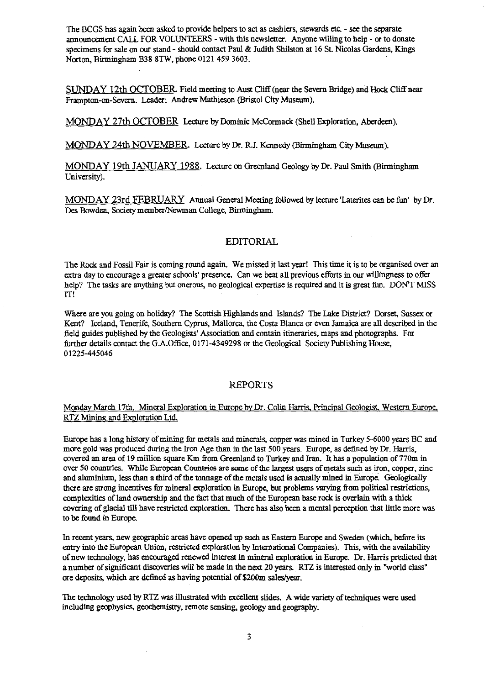The BCGS has again been asked to provide helpers to act as cashiers, stewards etc. - see the separate announcement CALL FOR VOLUNTEERS - with this newsletter. Anyone willing to help - or to donate specimens for sale on our stand - should contact Paul & Judith Shilston at 16 St. Nicolas Gardens, Kings Norton, Birmingham B38 8TW, phone 0121 459 3603.

SUNDAY 12th OCTOBER Field meeting to Aust Cliff (near the Severn Bridge) and Hock Cliff near Frampton-on-Severn. Leader: Andrew Mathieson (Bristol City Museum).

MONDAY 27th OCTOBER Lecture by Dominic McCormack (Shell Exploration, Aberdeen).

MONDAY 24th NOVEMBER. Lecture by Dr. R.J. Kennedy (Birmingham City Museum).

MONDAY 19th JANUARY 1988. Lecture on Greenland Geology by Dr. Paul Smith (Birmingham University).

MONDAY 23rd FEBRUARY Annual General Meeting followed by lecture'Laterites can be fun' by Dr. Des Bowden, Society member/Newman College, Birmingham.

### EDITORIAL

The Rock and Fossil Fair is coming round again. We missed it last year! This time it is to be organised over an extra day to encourage a greater schools' presence. Can we beat all previous efforts in our willingness to offer help? The tasks are anything but onerous, no geological expertise is required and it is great fun. DON'T MISS IT!

Where are you going on holiday? The Scottish Highlands and Islands? The Lake District? Dorset, Sussex or Kent? Iceland, Tenerife, Southern Cyprus, Mallorca, the Costa Blanca or even Jamaica are all described in the field guides published by the Geologists' Association and contain itineraries, maps and photographs. For further details contact the G.A.Office, 0171-4349298 or the Geological Society Publishing House, 01225-445046

### REPORTS

### Monday March 17th. Mineral Exploration in Europe by Dr. Colin Harris, Principal Geologist, Western Europe, RTZ Mining and Exploration Ltd.

Europe has a long history of mining for metals and minerals, copper was mined in Turkey 5-6000 *ye*ar*s* BC and more gold was produced during the Iron Age than in the last 500 years. Europe, as defined by Dr. Harris, covered an area of 19 million square Km from Greenland to Turkey and Iran. It has a population of 770m in over 50 countries. While European Countries are some of the largest users of metals such as iron, copper, zinc and aluminium, less than a third of the tonnage of the metals used is actually mined in Europe. Geologically there are strong incentives for mineral exploration in Europe, but problems varying from political restrictions, complexities of land ownership and the fact that much of the European base rock is overlain with a thick covering of glacial till have restricted exploration. There has also been a mental perception that little more was to be found in Europe.

In recent years, new geographic areas have opened up such as Eastern Europe and Sweden (which, before its entry into the European Union, restricted exploration by International Companies). This, with the availability of new technology, has encouraged renewed interest in mineral exploration in Europe, Dr. Harris predicted that a number of significant discoveries will be made in the next 20 years. RTZ is interested only in "world class" ore deposits, which are defined as having potential of \$200m sales/year.

The technology used by RTZ was illustrated with excellent slides. A wide variety of techniques were used including geophysics, geochemistry, remote sensing, geology and geography.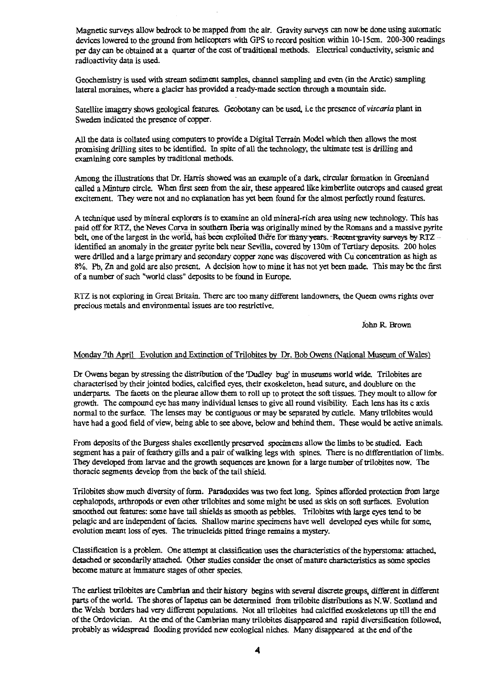Magnetic surveys allow bedrock to be mapped from the air. Gravity surveys can now be done using automatic devices lowered to the ground from helicopters with GPS to record position within 10-15cm. 200-300 readings per day can be obtained at a quarter of the cost of traditional methods. Electrical conductivity, seismic and radioactivity data is used.

Geochemistry is used with stream sediment samples, channel sampling and even (in the Arctic) sampling lateral moraines, where a glacier has provided a ready-made section through a mountain side.

Satellite imagery shows geological features. Geobotany can be used, Le the presence of *viscaria* plant in Sweden indicated the presence of copper.

All the data is collated using computers to provide a Digital Terrain Model which then allows the most promising drilling sites to be identified. In spite of all the technology, the ultimate test is drilling and examining core samples by traditional methods.

Among the illustrations that Dr. Harris showed was an example of a dark, circular formation in Greenl**an**d called a Minturn circle. When first seen from the air, these appeared like kimberlite outcrops and caused great excitement. They were not and no explanation has yet been found for the almost perfectly round features.

A technique used by mineral explorers is to examine an old mineral-rich area using new technology. This has paid off for RTZ, the Neves Corva in southern Iberia was originally mined by the Romans and a massive pyrite belt, one of the largest in the world, has been exploited there for many years. Recent gravity surveys by RTZ -identified an anomaly in the greater pyrite belt near Sevilla, covered by 130m of Tertiary deposits. 200 holes were drilled and a large prima**ry** and secondary copper zone was discovered with Cu concentration as high as 8%. Pb, Zn and gold are also present. A decision how to mine it has not yet been made. This may be the first of a number of such "world class" deposits to be found in Europe.

RTZ is not exploring in Great Britain. There are too many different landowners, the Queen owns rights over precious metals and environmental issues are too restrictive.

John R Brown

# Monday 7th April Evolution and Extinction of Trilobites by Dr. Bob Owens (National Museum of Wales

Dr Owens began by stressing the distribution of the Dudley bug' in museums world wide. Trilobites are characterised by their jointed bodies, calcified eyes, their exoskeleton, head suture, and doublure on the underparts. The facets on the pleurae allow them to roll up to protect the soft tissues. They moult to allow for growth. The compound eye has m**an**y individual lenses to give all round visibility. Each lens has its c axis normal to the surface. The lenses may **be** contiguous or may be separated by cuticle. Many trilobites would have had a good field of view, being able to see above, below and behind them. These would be active animals.

From deposits of the Burgess shales excellently preserved specimens allow the limbs to be studied. Each segment has a pair of feathery gills and a pair of walking legs with spines. There is no differentiation of limbs. *They* developed from la**rv**ae and the growth sequences are known for a large number of trilobites now. The thoracic segments develop from the back of the tail shield.

Trilobites show much diversity of form. Paradoxides was two feet long. Spines afforded protection from large cephalopods, arthropods or even other trilobites and some might **be** used **as** skis on soft surfaces. Evolution smoothed out features: some have tail shields as smooth as pebbles. Trilobites with large eyes tend to be pelagic and are independent of facies. Shallow marine specimens have well developed **eyes** while for some, evolution meant loss of eyes. The trinucleids pitted fringe remains a mystery.

Classification is a problem. One attempt at classification uses the characteristics of the hyperstoma: attached, detached or secondarily attached. Other studies consider the onset of mature characteristics as some species become mature at immature stages of other species.

The earliest trilobites are Cambrian and their history begins with several discrete groups, different in different parts of the world. The shores of Iapetus can be determined from trilobite distributions as N.W. Scotland and the Welsh borders had very different populations. Not **all** trilobites had calcified exoskeletons up till the end of the Ordovician. At the end of the Cambrian many trilobites disappeared and rapid diversification followed, probably as widespread flooding provided new ecological niches. Many disappeared at the end of the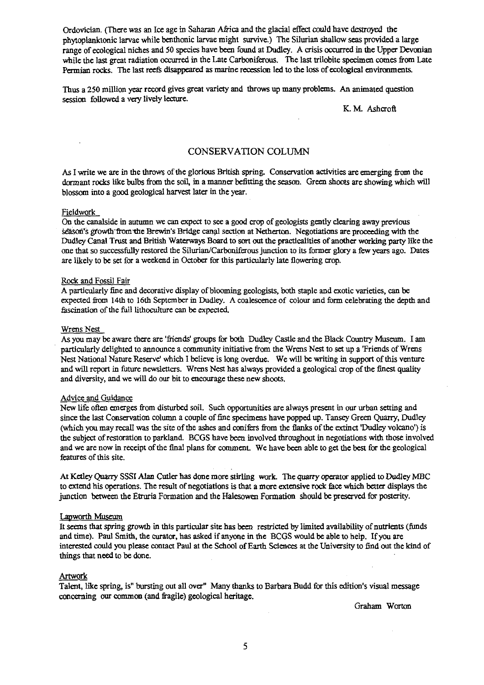Ordovician. (There was an Ice age in Saharan Africa and the glacial effect could have destroyed the phytoplanktonic larvae while benthonic larvae might survive.) The Silurian shallow seas provided a large range of ecological niches and *50* species have been found at Dudley. A crisis occurred in the Upper Devonian while the last great radiation occurred in the Late Carboniferous. The last trilobite specimen comes from Late Permian rocks. The last reefs disappeared as marine recession led to the loss of ecological environments.

Thus a 250 million year record gives great variety and throws up many problems. An animated question session followed a very lively lecture.

K. M. Ashcroft

### CONSERVATION COLUMN

As I write we are in the throws of the glorious British spring. Conservation activities are emerging from the dormant rocks like bulbs from the soil, in a manner befitting the season. Green shoots are showing which will blossom into a good geological harvest later in the year.

#### Fieldwork

On the canalside in autumn we can expect to see a good crop of geologists gently clearing away previous season's growth from the Brewin's Bridge canal section at Netherton. Negotiations are proceeding with the Dudley Canal Trust and British Waterways Board to sort out the practicalities of another working party like the one that so successfully restored the Silurian/Carboniferous junction to its former glory a few years ago. Dates are likely to be set for a weekend in October for this particularly late flowering crop.

#### Rock and Fossil Fair

A particularly fine and decorative display of blooming geologists, both staple and exotic varieties, can be expected from 14th to 16th September in Dudley. A coalescence of colour and form celebrating the depth and fascination of the full lithoculture can be expected.

#### Wrens Nest

As you maybe aware there are 'friends' groups for both Dudley Castle and the Black Country Museum. I am particularly delighted to announce a community initiative from the Wrens Nest to set up a 'Friends of Wrens' Nest National Nature Reserve' which I believe is long overdue. We will be writing in support of this venture and will report in future newsletters. Wrens Nest has always provided a geological crop of the finest quality and diversity, and we will do our bit to encourage these new shoots.

#### Advice and Guidance

New life often emerges from disturbed soil. Such opportunities are always present in our urban setting and since the last Conservation column a couple of fine specimens have popped up. Tansey Green Quarry, Dudley (which you may recall was the site of the ashes and conifers from the flanks of the extinct Dudley volcano') is the subject of restoration to parkland. BCGS have *been* involved throughout in negotiations with those involved and we are now in receipt of the final plans for comment. We have been able to get the best for the geological features of this site.

At Ketley Quarry SSSI Alan Cutler has done more stirling work. The *quarry* operator applied to Dudley MBC to extend his operations. The result of negotiations is that a more extensive rock face which better displays the junction between the Etruria Formation and the Halesowen Formation should be preserved for **posterity.**

#### Lapworth Museum

*It seems* that spring growth in this particular site has been restricted by limited availability of nutrients (funds and time). Paul Smith, the curator, has asked if anyone in the BCGS would be able to help. If you are interested could you please contact Paul at the School of Earth Sciences at the University to find out the kind of things that need to be done.

#### Artwork

Talent, like spring, is" bursting out *all over"* Many thanks to Barbara Budd for this edition's visual message concerning our common (and fragile) geological heritage.

Graham Worton